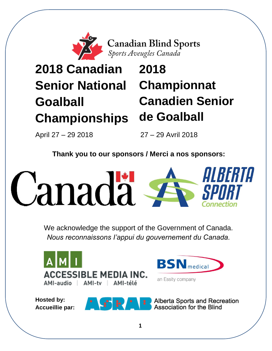

**Canadian Blind Sports**<br>Sports Aveugles Canada

# **2018 Canadian Senior National Goalball Championships**

# **2018 Championnat Canadien Senior de Goalball**

April 27 – 29 2018 27 – 29 Avril 2018

**Thank you to our sponsors / Merci a nos sponsors:**



We acknowledge the support of the Government of Canada. *Nous reconnaissons I'appui du gouvernement du Canada.*

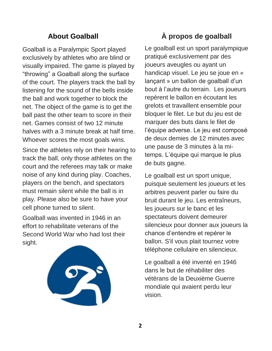# **About Goalball**

Goalball is a Paralympic Sport played exclusively by athletes who are blind or visually impaired. The game is played by "throwing" a Goalball along the surface of the court. The players track the ball by listening for the sound of the bells inside the ball and work together to block the net. The object of the game is to get the ball past the other team to score in their net. Games consist of two 12 minute halves with a 3 minute break at half time. Whoever scores the most goals wins.

Since the athletes rely on their hearing to track the ball, only those athletes on the court and the referees may talk or make noise of any kind during play. Coaches, players on the bench, and spectators must remain silent while the ball is in play. Please also be sure to have your cell phone turned to silent.

Goalball was invented in 1946 in an effort to rehabilitate veterans of the Second World War who had lost their sight.



# **À propos de goalball**

Le goalball est un sport paralympique pratiqué exclusivement par des joueurs aveugles ou ayant un handicap visuel. Le jeu se joue en « lançant » un ballon de goalball d'un bout à l'autre du terrain. Les joueurs repèrent le ballon en écoutant les grelots et travaillent ensemble pour bloquer le filet. Le but du jeu est de marquer des buts dans le filet de l'équipe adverse. Le jeu est composé de deux demies de 12 minutes avec une pause de 3 minutes à la mitemps. L'équipe qui marque le plus de buts gagne.

Le goalball est un sport unique, puisque seulement les joueurs et les arbitres peuvent parler ou faire du bruit durant le jeu. Les entraîneurs, les joueurs sur le banc et les spectateurs doivent demeurer silencieux pour donner aux joueurs la chance d'entendre et repérer le ballon. S'il vous plait tournez votre téléphone cellulaire en silencieux.

Le goalball a été inventé en 1946 dans le but de réhabiliter des vétérans de la Deuxième Guerre mondiale qui avaient perdu leur vision.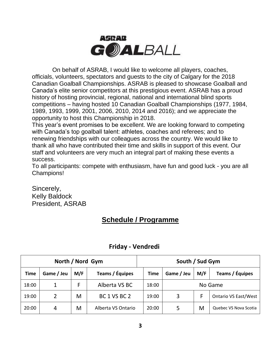

On behalf of ASRAB, I would like to welcome all players, coaches, officials, volunteers, spectators and guests to the city of Calgary for the 2018 Canadian Goalball Championships. ASRAB is pleased to showcase Goalball and Canada's elite senior competitors at this prestigious event. ASRAB has a proud history of hosting provincial, regional, national and international blind sports competitions – having hosted 10 Canadian Goalball Championships (1977, 1984, 1989, 1993, 1999, 2001, 2006, 2010, 2014 and 2016); and we appreciate the opportunity to host this Championship in 2018.

This year's event promises to be excellent. We are looking forward to competing with Canada's top goalball talent: athletes, coaches and referees; and to renewing friendships with our colleagues across the country. We would like to thank all who have contributed their time and skills in support of this event. Our staff and volunteers are very much an integral part of making these events a success.

To all participants: compete with enthusiasm, have fun and good luck - you are all Champions!

Sincerely, Kelly Baldock President, ASRAB

# **Schedule / Programme**

| North / Nord Gym |            |     |                    | South / Sud Gym |                   |   |                             |  |
|------------------|------------|-----|--------------------|-----------------|-------------------|---|-----------------------------|--|
| <b>Time</b>      | Game / Jeu | M/F | Teams / Équipes    | <b>Time</b>     | Game / Jeu<br>M/F |   | Teams / Équipes             |  |
| 18:00            | 1          | F   | Alberta VS BC      | 18:00           | No Game           |   |                             |  |
| 19:00            | 2          | M   | BC 1 VS BC 2       | 19:00           | 3                 | F | <b>Ontario VS East/West</b> |  |
| 20:00            | 4          | M   | Alberta VS Ontario | 20:00           | 5                 | M | Quebec VS Nova Scotia       |  |

# **Friday - Vendredi**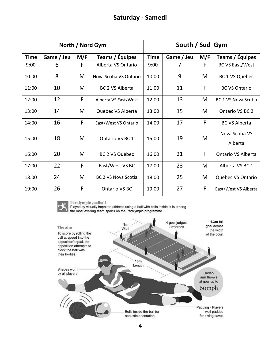# **Saturday - Samedi**

| North / Nord Gym |            |     |                        | South / Sud Gym |            |     |                            |
|------------------|------------|-----|------------------------|-----------------|------------|-----|----------------------------|
| <b>Time</b>      | Game / Jeu | M/F | Teams / Équipes        | <b>Time</b>     | Game / Jeu | M/F | Teams / Équipes            |
| 9:00             | 6          | F   | Alberta VS Ontario     | 9:00            | 7          | F   | <b>BC VS East/West</b>     |
| 10:00            | 8          | M   | Nova Scotia VS Ontario | 10:00           | 9          | M   | BC 1 VS Quebec             |
| 11:00            | 10         | M   | <b>BC 2 VS Alberta</b> | 11:00           | 11         | F   | <b>BC VS Ontario</b>       |
| 12:00            | 12         | F   | Alberta VS East/West   | 12:00           | 13         | M   | <b>BC 1 VS Nova Scotia</b> |
| 13:00            | 14         | M   | Quebec VS Alberta      | 13:00           | 15         | M   | Ontario VS BC 2            |
| 14:00            | 16         | F   | East/West VS Ontario   | 14:00           | 17         | F   | <b>BC VS Alberta</b>       |
| 15:00            | 18         | M   | Ontario VS BC 1        | 15:00           | 19         | M   | Nova Scotia VS             |
|                  |            |     |                        |                 |            |     | Alberta                    |
| 16:00            | 20         | M   | <b>BC 2 VS Quebec</b>  | 16:00           | 21         | F   | <b>Ontario VS Alberta</b>  |
| 17:00            | 22         | F   | East/West VS BC        | 17:00           | 23         | M   | Alberta VS BC 1            |
| 18:00            | 24         | M   | BC 2 VS Nova Scotia    | 18:00           | 25         | M   | Quebec VS Ontario          |
| 19:00            | 26         | F   | Ontario VS BC          | 19:00           | 27         | F   | East/West VS Alberta       |



Paralympic goalball<br>Played by visually impaired athletes using a ball with bells inside, it is among<br>the most exciting team sports on the Paralympic programme

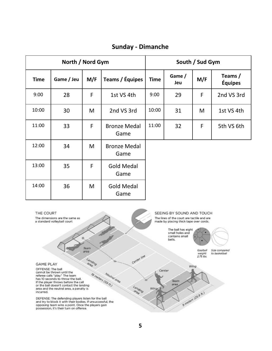| <b>Sunday - Dimanche</b> |  |  |  |
|--------------------------|--|--|--|
|--------------------------|--|--|--|

| North / Nord Gym |            |     |                             |             | South / Sud Gym |             |                           |  |
|------------------|------------|-----|-----------------------------|-------------|-----------------|-------------|---------------------------|--|
| <b>Time</b>      | Game / Jeu | M/F | Teams / Équipes             | <b>Time</b> | Game /<br>Jeu   | M/F         | Teams /<br><b>Équipes</b> |  |
| 9:00             | 28         | F   | 1st VS 4th                  | 9:00        | 29              | F           | 2nd VS 3rd                |  |
| 10:00            | 30         | M   | 2nd VS 3rd                  | 10:00       | 31              | M           | 1st VS 4th                |  |
| 11:00            | 33         | F   | <b>Bronze Medal</b><br>Game | 11:00       | 32              | $\mathsf F$ | 5th VS 6th                |  |
| 12:00            | 34         | M   | <b>Bronze Medal</b><br>Game |             |                 |             |                           |  |
| 13:00            | 35         | F   | <b>Gold Medal</b><br>Game   |             |                 |             |                           |  |
| 14:00            | 36         | M   | <b>Gold Medal</b><br>Game   |             |                 |             |                           |  |
|                  |            |     |                             |             |                 |             |                           |  |

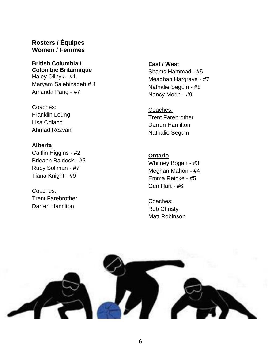## **Rosters / Équipes Women / Femmes**

#### **British Columbia / Colombie Britannique**

Haley Olinyk - #1 Maryam Salehizadeh # 4 Amanda Pang - #7

Coaches: Franklin Leung Lisa Odland Ahmad Rezvani

#### **Alberta**

Caitlin Higgins - #2 Brieann Baldock - #5 Ruby Soliman - #7 Tiana Knight - #9

Coaches: Trent Farebrother Darren Hamilton

# **East / West**

Shams Hammad - #5 Meaghan Hargrave - #7 Nathalie Seguin - #8 Nancy Morin - #9

Coaches: Trent Farebrother Darren Hamilton Nathalie Seguin

#### **Ontario**

Whitney Bogart - #3 Meghan Mahon - #4 Emma Reinke - #5 Gen Hart - #6

Coaches: Rob Christy Matt Robinson

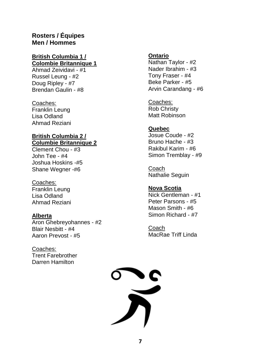# **Rosters / Équipes Men / Hommes**

#### **British Columbia 1 / Colombie Britannique 1**

Ahmad Zeividavi - #1 Russel Leung - #2 Doug Ripley - #7 Brendan Gaulin - #8

#### Coaches:

Franklin Leung Lisa Odland Ahmad Reziani

#### **British Columbia 2 / Columbie Britannique 2**

Clement Chou - #3 John Tee - #4 Joshua Hoskins -#5 Shane Wegner -#6

#### Coaches:

Franklin Leung Lisa Odland Ahmad Reziani

#### **Alberta**

Aron Ghebreyohannes - #2 Blair Nesbitt - #4 Aaron Prevost - #5

Coaches: Trent Farebrother Darren Hamilton

### **Ontario**

Nathan Taylor - #2 Nader Ibrahim - #3 Tony Fraser - #4 Beke Parker - #5 Arvin Carandang - #6

Coaches: Rob Christy Matt Robinson

#### **Quebec**

Josue Coude - #2 Bruno Hache - #3 Rakibul Karim - #6 Simon Tremblay - #9

Coach Nathalie Seguin

## **Nova Scotia**

Nick Gentleman - #1 Peter Parsons - #5 Mason Smith - #6 Simon Richard - #7

Coach MacRae Triff Linda